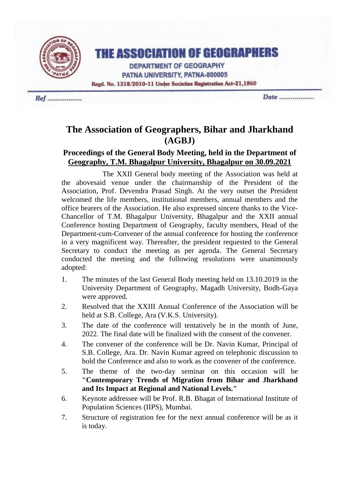

# **THE ASSOCIATION OF GEOGRAPHERS**

**DEPARTMENT OF GEOGRAPHY** PATNA UNIVERSITY, PATNA-800005 Regd. No. 1318/2010-11 Under Societies Registration Act-21,1860

Ref ...................

Date ...................

## **The Association of Geographers, Bihar and Jharkhand (AGBJ)**

## **Proceedings of the General Body Meeting, held in the Department of Geography, T.M. Bhagalpur University, Bhagalpur on 30.09.2021**

The XXII General body meeting of the Association was held at the abovesaid venue under the chairmanship of the President of the Association, Prof. Devendra Prasad Singh. At the very outset the President welcomed the life members, institutional members, annual members and the office bearers of the Association. He also expressed sincere thanks to the Vice-Chancellor of T.M. Bhagalpur University, Bhagalpur and the XXII annual Conference hosting Department of Geography, faculty members, Head of the Department-cum-Convener of the annual conference for hosting the conference in a very magnificent way. Thereafter, the president requested to the General Secretary to conduct the meeting as per agenda. The General Secretary conducted the meeting and the following resolutions were unanimously adopted:

- 1. The minutes of the last General Body meeting held on 13.10.2019 in the University Department of Geography, Magadh University, Bodh-Gaya were approved.
- 2. Resolved that the XXIII Annual Conference of the Association will be held at S.B. College, Ara (V.K.S. University).
- 3. The date of the conference will tentatively be in the month of June, 2022. The final date will be finalized with the consent of the convener.
- 4. The convener of the conference will be Dr. Navin Kumar, Principal of S.B. College, Ara. Dr. Navin Kumar agreed on telephonic discussion to hold the Conference and also to work as the convener of the conference.
- 5. The theme of the two-day seminar on this occasion will be **"Contemporary Trends of Migration from Bihar and Jharkhand and Its Impact at Regional and National Levels."**
- 6. Keynote addressee will be Prof. R.B. Bhagat of International Institute of Population Sciences (IIPS), Mumbai.
- 7. Structure of registration fee for the next annual conference will be as it is today.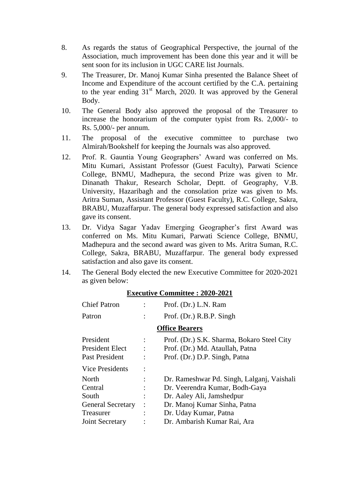- 8. As regards the status of Geographical Perspective, the journal of the Association, much improvement has been done this year and it will be sent soon for its inclusion in UGC CARE list Journals.
- 9. The Treasurer, Dr. Manoj Kumar Sinha presented the Balance Sheet of Income and Expenditure of the account certified by the C.A. pertaining to the year ending 31<sup>st</sup> March, 2020. It was approved by the General Body.
- 10. The General Body also approved the proposal of the Treasurer to increase the honorarium of the computer typist from Rs. 2,000/- to Rs. 5,000/- per annum.
- 11. The proposal of the executive committee to purchase two Almirah/Bookshelf for keeping the Journals was also approved.
- 12. Prof. R. Gauntia Young Geographers' Award was conferred on Ms. Mitu Kumari, Assistant Professor (Guest Faculty), Parwati Science College, BNMU, Madhepura, the second Prize was given to Mr. Dinanath Thakur, Research Scholar, Deptt. of Geography, V.B. University, Hazaribagh and the consolation prize was given to Ms. Aritra Suman, Assistant Professor (Guest Faculty), R.C. College, Sakra, BRABU, Muzaffarpur. The general body expressed satisfaction and also gave its consent.
- 13. Dr. Vidya Sagar Yadav Emerging Geographer's first Award was conferred on Ms. Mitu Kumari, Parwati Science College, BNMU, Madhepura and the second award was given to Ms. Aritra Suman, R.C. College, Sakra, BRABU, Muzaffarpur. The general body expressed satisfaction and also gave its consent.
- 14. The General Body elected the new Executive Committee for 2020-2021 as given below:

| Prof. (Dr.) L.N. Ram<br>Prof. (Dr.) R.B.P. Singh                                                               |
|----------------------------------------------------------------------------------------------------------------|
| <b>Office Bearers</b>                                                                                          |
| Prof. (Dr.) S.K. Sharma, Bokaro Steel City<br>Prof. (Dr.) Md. Ataullah, Patna<br>Prof. (Dr.) D.P. Singh, Patna |
|                                                                                                                |
| Dr. Rameshwar Pd. Singh, Lalganj, Vaishali<br>Dr. Veerendra Kumar, Bodh-Gaya<br>Dr. Aaley Ali, Jamshedpur      |
| Dr. Manoj Kumar Sinha, Patna<br>Dr. Uday Kumar, Patna<br>Dr. Ambarish Kumar Rai, Ara                           |
|                                                                                                                |

#### **Executive Committee : 2020-2021**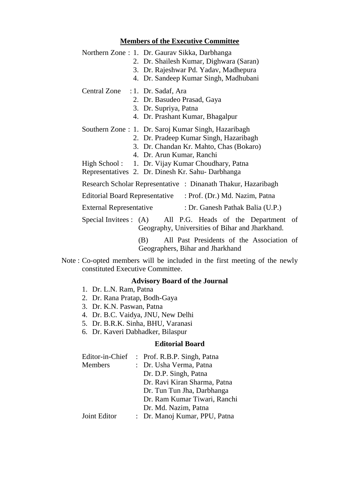#### **Members of the Executive Committee**

|                                  | Northern Zone: 1. Dr. Gaurav Sikka, Darbhanga                 |
|----------------------------------|---------------------------------------------------------------|
|                                  | 2. Dr. Shailesh Kumar, Dighwara (Saran)                       |
|                                  | 3. Dr. Rajeshwar Pd. Yadav, Madhepura                         |
|                                  | 4. Dr. Sandeep Kumar Singh, Madhubani                         |
| Central Zone : 1. Dr. Sadaf, Ara |                                                               |
|                                  | 2. Dr. Basudeo Prasad, Gaya                                   |
|                                  | 3. Dr. Supriya, Patna                                         |
|                                  | 4. Dr. Prashant Kumar, Bhagalpur                              |
|                                  | Southern Zone: 1. Dr. Saroj Kumar Singh, Hazaribagh           |
|                                  | 2. Dr. Pradeep Kumar Singh, Hazaribagh                        |
|                                  | 3. Dr. Chandan Kr. Mahto, Chas (Bokaro)                       |
|                                  | 4. Dr. Arun Kumar, Ranchi                                     |
|                                  | High School: 1. Dr. Vijay Kumar Choudhary, Patna              |
|                                  | Representatives 2. Dr. Dinesh Kr. Sahu-Darbhanga              |
|                                  | Research Scholar Representative : Dinanath Thakur, Hazaribagh |
|                                  | Editorial Board Representative : Prof. (Dr.) Md. Nazim, Patna |
| <b>External Representative</b>   | : Dr. Ganesh Pathak Balia (U.P.)                              |
|                                  | Special Invitees: (A) All P.G. Heads of the Department of     |
|                                  | Geography, Universities of Bihar and Jharkhand.               |

(B) All Past Presidents of the Association of Geographers, Bihar and Jharkhand

Note : Co-opted members will be included in the first meeting of the newly constituted Executive Committee.

### **Advisory Board of the Journal**

- 1. Dr. L.N. Ram, Patna
- 2. Dr. Rana Pratap, Bodh-Gaya
- 3. Dr. K.N. Paswan, Patna
- 4. Dr. B.C. Vaidya, JNU, New Delhi
- 5. Dr. B.R.K. Sinha, BHU, Varanasi
- 6. Dr. Kaveri Dabhadker, Bilaspur

#### **Editorial Board**

| Editor-in-Chief | : Prof. R.B.P. Singh, Patna   |
|-----------------|-------------------------------|
| <b>Members</b>  | : Dr. Usha Verma, Patna       |
|                 | Dr. D.P. Singh, Patna         |
|                 | Dr. Ravi Kiran Sharma, Patna  |
|                 | Dr. Tun Tun Jha, Darbhanga    |
|                 | Dr. Ram Kumar Tiwari, Ranchi  |
|                 | Dr. Md. Nazim, Patna          |
| Joint Editor    | : Dr. Manoj Kumar, PPU, Patna |